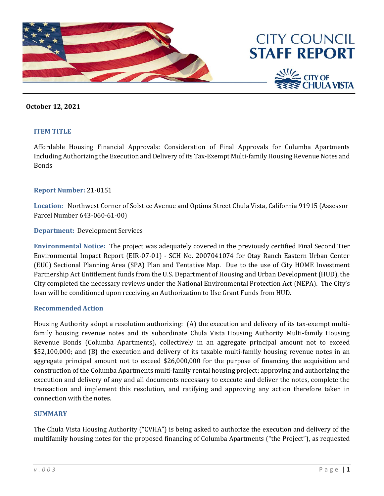

### **October 12, 2021**

#### **ITEM TITLE**

Affordable Housing Financial Approvals: Consideration of Final Approvals for Columba Apartments Including Authorizing the Execution and Delivery of its Tax-Exempt Multi-family Housing Revenue Notes and Bonds

#### **Report Number:** 21-0151

**Location:** Northwest Corner of Solstice Avenue and Optima Street Chula Vista, California 91915 (Assessor Parcel Number 643-060-61-00)

#### **Department:** Development Services

**Environmental Notice:** The project was adequately covered in the previously certified Final Second Tier Environmental Impact Report (EIR-07-01) - SCH No. 2007041074 for Otay Ranch Eastern Urban Center (EUC) Sectional Planning Area (SPA) Plan and Tentative Map. Due to the use of City HOME Investment Partnership Act Entitlement funds from the U.S. Department of Housing and Urban Development (HUD), the City completed the necessary reviews under the National Environmental Protection Act (NEPA). The City's loan will be conditioned upon receiving an Authorization to Use Grant Funds from HUD.

#### **Recommended Action**

Housing Authority adopt a resolution authorizing: (A) the execution and delivery of its tax-exempt multifamily housing revenue notes and its subordinate Chula Vista Housing Authority Multi-family Housing Revenue Bonds (Columba Apartments), collectively in an aggregate principal amount not to exceed \$52,100,000; and (B) the execution and delivery of its taxable multi-family housing revenue notes in an aggregate principal amount not to exceed \$26,000,000 for the purpose of financing the acquisition and construction of the Columba Apartments multi-family rental housing project; approving and authorizing the execution and delivery of any and all documents necessary to execute and deliver the notes, complete the transaction and implement this resolution, and ratifying and approving any action therefore taken in connection with the notes.

#### **SUMMARY**

The Chula Vista Housing Authority ("CVHA") is being asked to authorize the execution and delivery of the multifamily housing notes for the proposed financing of Columba Apartments ("the Project"), as requested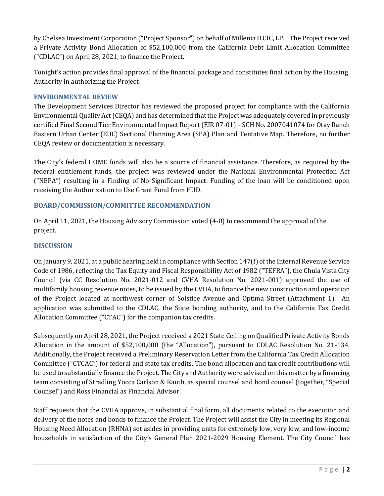by Chelsea Investment Corporation ("Project Sponsor") on behalf of Millenia II CIC, LP. The Project received a Private Activity Bond Allocation of \$52,100,000 from the California Debt Limit Allocation Committee ("CDLAC") on April 28, 2021, to finance the Project.

Tonight's action provides final approval of the financial package and constitutes final action by the Housing Authority in authorizing the Project.

## **ENVIRONMENTAL REVIEW**

The Development Services Director has reviewed the proposed project for compliance with the California Environmental Quality Act (CEQA) and has determined that the Project was adequately covered in previously certified Final Second Tier Environmental Impact Report (EIR 07-01) – SCH No. 2007041074 for Otay Ranch Eastern Urban Center (EUC) Sectional Planning Area (SPA) Plan and Tentative Map. Therefore, no further CEQA review or documentation is necessary.

The City's federal HOME funds will also be a source of financial assistance. Therefore, as required by the federal entitlement funds, the project was reviewed under the National Environmental Protection Act ("NEPA") resulting in a Finding of No Significant Impact. Funding of the loan will be conditioned upon receiving the Authorization to Use Grant Fund from HUD.

## **BOARD/COMMISSION/COMMITTEE RECOMMENDATION**

On April 11, 2021, the Housing Advisory Commission voted (4-0) to recommend the approval of the project.

## **DISCUSSION**

On January 9, 2021, at a public hearing held in compliance with Section 147(f) of the Internal Revenue Service Code of 1986, reflecting the Tax Equity and Fiscal Responsibility Act of 1982 ("TEFRA"), the Chula Vista City Council (via CC Resolution No. 2021-012 and CVHA Resolution No. 2021-001) approved the use of multifamily housing revenue notes, to be issued by the CVHA, to finance the new construction and operation of the Project located at northwest corner of Solstice Avenue and Optima Street (Attachment 1). An application was submitted to the CDLAC, the State bonding authority, and to the California Tax Credit Allocation Committee ("CTAC") for the companion tax credits.

Subsequently on April 28, 2021, the Project received a 2021 State Ceiling on Qualified Private Activity Bonds Allocation in the amount of \$52,100,000 (the "Allocation"), pursuant to CDLAC Resolution No. 21-134. Additionally, the Project received a Preliminary Reservation Letter from the California Tax Credit Allocation Committee ("CTCAC") for federal and state tax credits. The bond allocation and tax credit contributions will be used to substantially finance the Project. The City and Authority were advised on this matter by a financing team consisting of Stradling Yocca Carlson & Rauth, as special counsel and bond counsel (together, "Special Counsel") and Ross Financial as Financial Advisor.

Staff requests that the CVHA approve, in substantial final form, all documents related to the execution and delivery of the notes and bonds to finance the Project. The Project will assist the City in meeting its Regional Housing Need Allocation (RHNA) set asides in providing units for extremely low, very low, and low-income households in satisfaction of the City's General Plan 2021-2029 Housing Element. The City Council has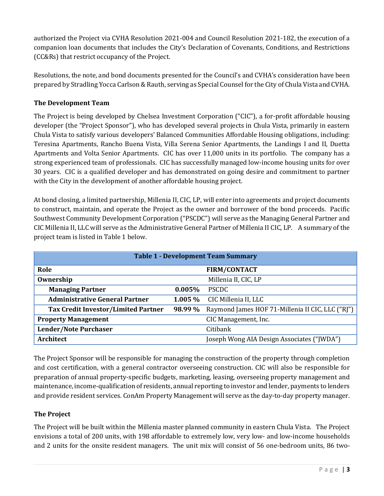authorized the Project via CVHA Resolution 2021-004 and Council Resolution 2021-182, the execution of a companion loan documents that includes the City's Declaration of Covenants, Conditions, and Restrictions (CC&Rs) that restrict occupancy of the Project.

Resolutions, the note, and bond documents presented for the Council's and CVHA's consideration have been prepared by Stradling Yocca Carlson & Rauth, serving as Special Counsel for the City of Chula Vista and CVHA.

# **The Development Team**

The Project is being developed by Chelsea Investment Corporation ("CIC"), a for-profit affordable housing developer (the "Project Sponsor"), who has developed several projects in Chula Vista, primarily in eastern Chula Vista to satisfy various developers' Balanced Communities Affordable Housing obligations, including: Teresina Apartments, Rancho Buena Vista, Villa Serena Senior Apartments, the Landings I and II, Duetta Apartments and Volta Senior Apartments. CIC has over 11,000 units in its portfolio. The company has a strong experienced team of professionals. CIC has successfully managed low-income housing units for over 30 years. CIC is a qualified developer and has demonstrated on going desire and commitment to partner with the City in the development of another affordable housing project.

At bond closing, a limited partnership, Millenia II, CIC, LP, will enter into agreements and project documents to construct, maintain, and operate the Project as the owner and borrower of the bond proceeds. Pacific Southwest Community Development Corporation ("PSCDC") will serve as the Managing General Partner and CIC Millenia II, LLC will serve as the Administrative General Partner of Millenia II CIC, LP. A summary of the project team is listed in Table 1 below.

| <b>Table 1 - Development Team Summary</b>  |                     |                                                  |  |  |  |  |
|--------------------------------------------|---------------------|--------------------------------------------------|--|--|--|--|
| Role                                       | <b>FIRM/CONTACT</b> |                                                  |  |  |  |  |
| Ownership                                  |                     | Millenia II, CIC, LP                             |  |  |  |  |
| <b>Managing Partner</b>                    | 0.005%              | <b>PSCDC</b>                                     |  |  |  |  |
| <b>Administrative General Partner</b>      | $1.005\%$           | CIC Millenia II, LLC                             |  |  |  |  |
| <b>Tax Credit Investor/Limited Partner</b> | 98.99 %             | Raymond James HOF 71-Millenia II CIC, LLC ("RJ") |  |  |  |  |
| <b>Property Management</b>                 |                     | CIC Management, Inc.                             |  |  |  |  |
| <b>Lender/Note Purchaser</b>               |                     | Citibank                                         |  |  |  |  |
| Architect                                  |                     | Joseph Wong AIA Design Associates ("JWDA")       |  |  |  |  |

The Project Sponsor will be responsible for managing the construction of the property through completion and cost certification, with a general contractor overseeing construction. CIC will also be responsible for preparation of annual property-specific budgets, marketing, leasing, overseeing property management and maintenance, income-qualification of residents, annual reporting to investor and lender, payments to lenders and provide resident services. ConAm Property Management will serve as the day-to-day property manager.

# **The Project**

The Project will be built within the Millenia master planned community in eastern Chula Vista. The Project envisions a total of 200 units, with 198 affordable to extremely low, very low- and low-income households and 2 units for the onsite resident managers. The unit mix will consist of 56 one-bedroom units, 86 two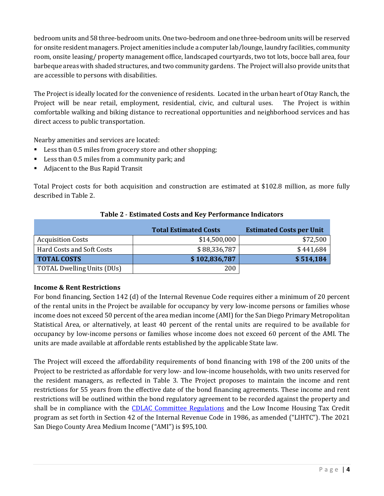bedroom units and 58 three-bedroom units. One two-bedroom and one three-bedroom units will be reserved for onsite resident managers. Project amenities include a computer lab/lounge, laundry facilities, community room, onsite leasing/ property management office, landscaped courtyards, two tot lots, bocce ball area, four barbeque areas with shaded structures, and two community gardens. The Project will also provide units that are accessible to persons with disabilities.

The Project is ideally located for the convenience of residents. Located in the urban heart of Otay Ranch, the Project will be near retail, employment, residential, civic, and cultural uses. The Project is within comfortable walking and biking distance to recreational opportunities and neighborhood services and has direct access to public transportation.

Nearby amenities and services are located:

- Less than 0.5 miles from grocery store and other shopping;
- Less than 0.5 miles from a community park; and
- Adjacent to the Bus Rapid Transit

Total Project costs for both acquisition and construction are estimated at \$102.8 million, as more fully described in Table 2.

|                            | <b>Total Estimated Costs</b> | <b>Estimated Costs per Unit</b> |  |
|----------------------------|------------------------------|---------------------------------|--|
| <b>Acquisition Costs</b>   | \$14,500,000                 | \$72,500                        |  |
| Hard Costs and Soft Costs  | \$88,336,787                 | \$441,684                       |  |
| <b>TOTAL COSTS</b>         | \$102,836,787                | \$514,184                       |  |
| TOTAL Dwelling Units (DUs) | 200                          |                                 |  |

### **Table 2** - **Estimated Costs and Key Performance Indicators**

# **Income & Rent Restrictions**

For bond financing, Section 142 (d) of the Internal Revenue Code requires either a minimum of 20 percent of the rental units in the Project be available for occupancy by very low-income persons or families whose income does not exceed 50 percent of the area median income (AMI) for the San Diego Primary Metropolitan Statistical Area, or alternatively, at least 40 percent of the rental units are required to be available for occupancy by low-income persons or families whose income does not exceed 60 percent of the AMI. The units are made available at affordable rents established by the applicable State law.

The Project will exceed the affordability requirements of bond financing with 198 of the 200 units of the Project to be restricted as affordable for very low- and low-income households, with two units reserved for the resident managers, as reflected in Table 3. The Project proposes to maintain the income and rent restrictions for 55 years from the effective date of the bond financing agreements. These income and rent restrictions will be outlined within the bond regulatory agreement to be recorded against the property and shall be in compliance with the [CDLAC Committee Regulations](https://www.treasurer.ca.gov/cdlac/regulations/20190201.pdf) and the Low Income Housing Tax Credit program as set forth in Section 42 of the Internal Revenue Code in 1986, as amended ("LIHTC"). The 2021 San Diego County Area Medium Income ("AMI") is \$95,100.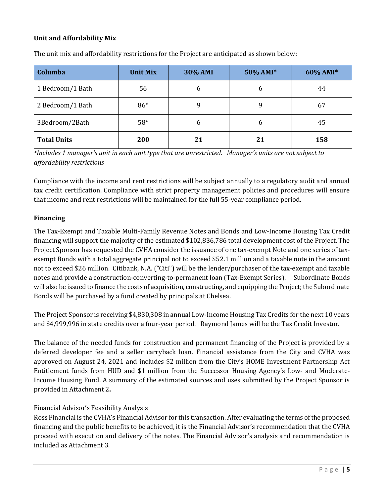## **Unit and Affordability Mix**

| Columba            | <b>Unit Mix</b> | <b>30% AMI</b> | 50% AMI* | 60% AMI* |
|--------------------|-----------------|----------------|----------|----------|
| 1 Bedroom/1 Bath   | 56              | 6              | 6        | 44       |
| 2 Bedroom/1 Bath   | 86*             | 9              | 9        | 67       |
| 3Bedroom/2Bath     | $58*$           | 6              | 6        | 45       |
| <b>Total Units</b> | 200             | 21             | 21       | 158      |

The unit mix and affordability restrictions for the Project are anticipated as shown below:

*\*Includes 1 manager's unit in each unit type that are unrestricted. Manager's units are not subject to affordability restrictions*

Compliance with the income and rent restrictions will be subject annually to a regulatory audit and annual tax credit certification. Compliance with strict property management policies and procedures will ensure that income and rent restrictions will be maintained for the full 55-year compliance period.

## **Financing**

The Tax-Exempt and Taxable Multi-Family Revenue Notes and Bonds and Low-Income Housing Tax Credit financing will support the majority of the estimated \$102,836,786 total development cost of the Project. The Project Sponsor has requested the CVHA consider the issuance of one tax-exempt Note and one series of taxexempt Bonds with a total aggregate principal not to exceed \$52.1 million and a taxable note in the amount not to exceed \$26 million. Citibank, N.A. ("Citi") will be the lender/purchaser of the tax-exempt and taxable notes and provide a construction-converting-to-permanent loan (Tax-Exempt Series). Subordinate Bonds will also be issued to finance the costs of acquisition, constructing, and equipping the Project; the Subordinate Bonds will be purchased by a fund created by principals at Chelsea.

The Project Sponsor is receiving \$4,830,308 in annual Low-Income Housing Tax Credits for the next 10 years and \$4,999,996 in state credits over a four-year period. Raymond James will be the Tax Credit Investor.

The balance of the needed funds for construction and permanent financing of the Project is provided by a deferred developer fee and a seller carryback loan. Financial assistance from the City and CVHA was approved on August 24, 2021 and includes \$2 million from the City's HOME Investment Partnership Act Entitlement funds from HUD and \$1 million from the Successor Housing Agency's Low- and Moderate-Income Housing Fund. A summary of the estimated sources and uses submitted by the Project Sponsor is provided in Attachment 2**.**

# Financial Advisor's Feasibility Analysis

Ross Financial is the CVHA's Financial Advisor for this transaction. After evaluating the terms of the proposed financing and the public benefits to be achieved, it is the Financial Advisor's recommendation that the CVHA proceed with execution and delivery of the notes. The Financial Advisor's analysis and recommendation is included as Attachment 3.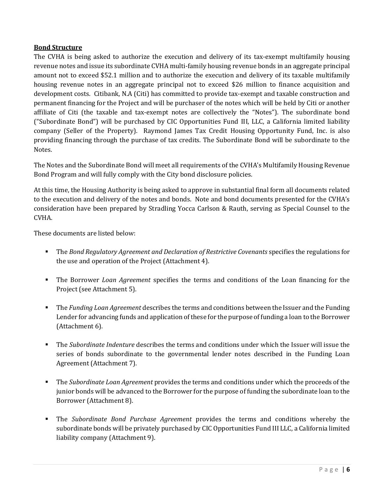## **Bond Structure**

The CVHA is being asked to authorize the execution and delivery of its tax-exempt multifamily housing revenue notes and issue its subordinate CVHA multi-family housing revenue bonds in an aggregate principal amount not to exceed \$52.1 million and to authorize the execution and delivery of its taxable multifamily housing revenue notes in an aggregate principal not to exceed \$26 million to finance acquisition and development costs. Citibank, N.A (Citi) has committed to provide tax-exempt and taxable construction and permanent financing for the Project and will be purchaser of the notes which will be held by Citi or another affiliate of Citi (the taxable and tax-exempt notes are collectively the "Notes"). The subordinate bond ("Subordinate Bond") will be purchased by CIC Opportunities Fund III, LLC, a California limited liability company (Seller of the Property). Raymond James Tax Credit Housing Opportunity Fund, Inc. is also providing financing through the purchase of tax credits. The Subordinate Bond will be subordinate to the Notes.

The Notes and the Subordinate Bond will meet all requirements of the CVHA's Multifamily Housing Revenue Bond Program and will fully comply with the City bond disclosure policies.

At this time, the Housing Authority is being asked to approve in substantial final form all documents related to the execution and delivery of the notes and bonds. Note and bond documents presented for the CVHA's consideration have been prepared by Stradling Yocca Carlson & Rauth, serving as Special Counsel to the CVHA.

These documents are listed below:

- The *Bond Regulatory Agreement and Declaration of Restrictive Covenants* specifies the regulations for the use and operation of the Project (Attachment 4).
- The Borrower *Loan Agreement* specifies the terms and conditions of the Loan financing for the Project (see Attachment 5).
- The *Funding Loan Agreement* describes the terms and conditions between the Issuer and the Funding Lender for advancing funds and application of these for the purpose of funding a loan to the Borrower (Attachment 6).
- The *Subordinate Indenture* describes the terms and conditions under which the Issuer will issue the series of bonds subordinate to the governmental lender notes described in the Funding Loan Agreement (Attachment 7).
- The *Subordinate Loan Agreement* provides the terms and conditions under which the proceeds of the junior bonds will be advanced to the Borrower for the purpose of funding the subordinate loan to the Borrower (Attachment 8).
- The *Subordinate Bond Purchase Agreement* provides the terms and conditions whereby the subordinate bonds will be privately purchased by CIC Opportunities Fund III LLC, a California limited liability company (Attachment 9).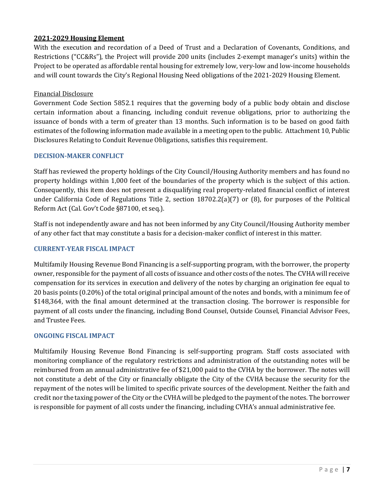## **2021-2029 Housing Element**

With the execution and recordation of a Deed of Trust and a Declaration of Covenants, Conditions, and Restrictions ("CC&Rs"), the Project will provide 200 units (includes 2-exempt manager's units) within the Project to be operated as affordable rental housing for extremely low, very-low and low-income households and will count towards the City's Regional Housing Need obligations of the 2021-2029 Housing Element.

### Financial Disclosure

Government Code Section 5852.1 requires that the governing body of a public body obtain and disclose certain information about a financing, including conduit revenue obligations, prior to authorizing the issuance of bonds with a term of greater than 13 months. Such information is to be based on good faith estimates of the following information made available in a meeting open to the public. Attachment 10, Public Disclosures Relating to Conduit Revenue Obligations, satisfies this requirement.

### **DECISION-MAKER CONFLICT**

Staff has reviewed the property holdings of the City Council/Housing Authority members and has found no property holdings within 1,000 feet of the boundaries of the property which is the subject of this action. Consequently, this item does not present a disqualifying real property-related financial conflict of interest under California Code of Regulations Title 2, section 18702.2(a)(7) or (8), for purposes of the Political Reform Act (Cal. Gov't Code §87100, et seq.).

Staff is not independently aware and has not been informed by any City Council/Housing Authority member of any other fact that may constitute a basis for a decision-maker conflict of interest in this matter.

### **CURRENT-YEAR FISCAL IMPACT**

Multifamily Housing Revenue Bond Financing is a self-supporting program, with the borrower, the property owner, responsible for the payment of all costs of issuance and other costs of the notes. The CVHA will receive compensation for its services in execution and delivery of the notes by charging an origination fee equal to 20 basis points (0.20%) of the total original principal amount of the notes and bonds, with a minimum fee of \$148,364, with the final amount determined at the transaction closing. The borrower is responsible for payment of all costs under the financing, including Bond Counsel, Outside Counsel, Financial Advisor Fees, and Trustee Fees.

## **ONGOING FISCAL IMPACT**

Multifamily Housing Revenue Bond Financing is self-supporting program. Staff costs associated with monitoring compliance of the regulatory restrictions and administration of the outstanding notes will be reimbursed from an annual administrative fee of \$21,000 paid to the CVHA by the borrower. The notes will not constitute a debt of the City or financially obligate the City of the CVHA because the security for the repayment of the notes will be limited to specific private sources of the development. Neither the faith and credit nor the taxing power of the City or the CVHA will be pledged to the payment of the notes. The borrower is responsible for payment of all costs under the financing, including CVHA's annual administrative fee.